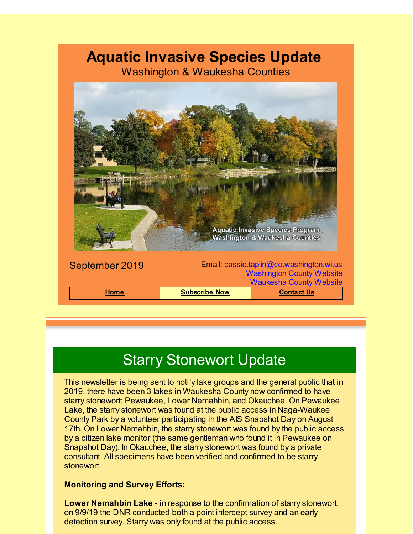# **Aquatic Invasive Species Update**

Washington & Waukesha Counties



# Starry Stonewort Update

This newsletter is being sent to notify lake groups and the general public that in 2019, there have been 3 lakes in Waukesha County now confirmed to have starry stonewort: Pewaukee, Lower Nemahbin, and Okauchee. On Pewaukee Lake, the starry stonewort was found at the public access in Naga-Waukee County Park by a volunteer participating in the AIS Snapshot Day on August 17th. On Lower Nemahbin, the starry stonewort was found by the public access by a citizen lake monitor (the same gentleman who found it in Pewaukee on Snapshot Day). In Okauchee, the starry stonewort was found by a private consultant. All specimens have been verified and confirmed to be starry stonewort.

#### **Monitoring and Survey Efforts:**

**Lower Nemahbin Lake** - in response to the confirmation of starry stonewort, on 9/9/19 the DNR conducted both a point intercept survey and an early detection survey. Starry was only found at the public access.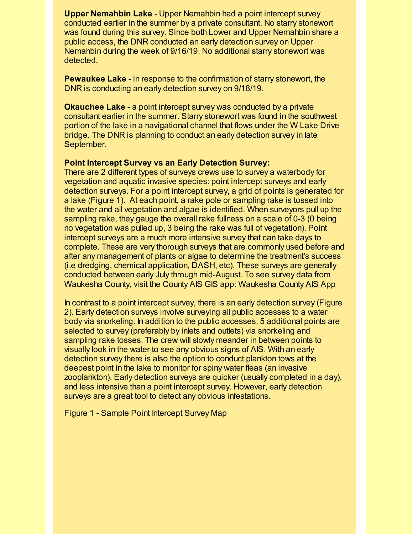**Upper Nemahbin Lake** - Upper Nemahbin had a point intercept survey conducted earlier in the summer by a private consultant. No starry stonewort was found during this survey. Since both Lower and Upper Nemahbin share a public access, the DNR conducted an early detection survey on Upper Nemahbin during the week of 9/16/19. No additional starry stonewort was detected.

**Pewaukee Lake** - in response to the confirmation of starry stonewort, the DNR is conducting an early detection survey on 9/18/19.

**Okauchee Lake** - a point intercept survey was conducted by a private consultant earlier in the summer. Starry stonewort was found in the southwest portion of the lake in a navigational channel that flows under the W Lake Drive bridge. The DNR is planning to conduct an early detection survey in late September.

#### **Point Intercept Survey vs an Early Detection Survey:**

There are 2 different types of surveys crews use to survey a waterbody for vegetation and aquatic invasive species: point intercept surveys and early detection surveys. For a point intercept survey, a grid of points is generated for a lake (Figure 1). At each point, a rake pole or sampling rake is tossed into the water and all vegetation and algae is identified. When surveyors pull up the sampling rake, they gauge the overall rake fullness on a scale of 0-3 (0 being no vegetation was pulled up, 3 being the rake was full of vegetation). Point intercept surveys are a much more intensive survey that can take days to complete. These are very thorough surveys that are commonly used before and after any management of plants or algae to determine the treatment's success (i.e dredging, chemical application, DASH, etc). These surveys are generally conducted between early July through mid-August. To see survey data from Waukesha County, visit the County AIS GIS app: [Waukesha](https://waukeshacounty.maps.arcgis.com/apps/webappviewer/index.html?id=a6430adc87794e1095429b4b54a637b8&utm_source=Aquatic+Invasive+Species+Update+Special+Announcement&utm_campaign=AIS+January+2018+Update&utm_medium=email) County AIS App

In contrast to a point intercept survey, there is an early detection survey (Figure 2). Early detection surveys involve surveying all public accesses to a water body via snorkeling. In addition to the public accesses, 5 additional points are selected to survey (preferably by inlets and outlets) via snorkeling and sampling rake tosses. The crew will slowly meander in between points to visually look in the water to see any obvious signs of AIS. With an early detection survey there is also the option to conduct plankton tows at the deepest point in the lake to monitor for spiny water fleas (an invasive zooplankton). Early detection surveys are quicker (usually completed in a day), and less intensive than a point intercept survey. However, early detection surveys are a great tool to detect any obvious infestations.

Figure 1 - Sample Point Intercept Survey Map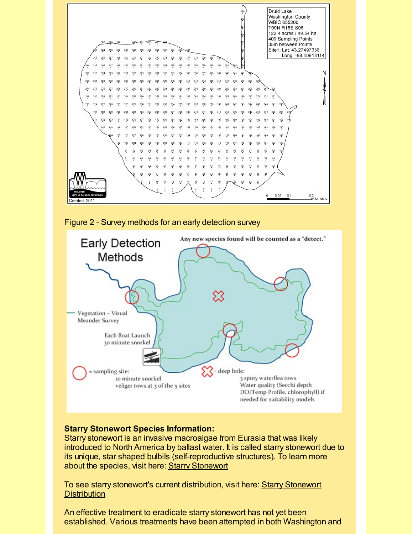





### **Starry Stonewort Species Information:**

Starry stonewort is an invasive macroalgae from Eurasia that was likely introduced to North America by ballast water. It is called starry stonewort due to its unique, star shaped bulbils (self-reproductive structures). To learn more about the species, visit here: Starry [Stonewort](https://dnr.wi.gov/topic/invasives/fact/starrystonewort.html?utm_source=Aquatic+Invasive+Species+Update+Special+Announcement&utm_campaign=AIS+January+2018+Update&utm_medium=email)

To see starry stonewort's current [distribution,](https://dnr.wi.gov/lakes/invasives/AISLists.aspx?species=STARRY_STONEW&utm_source=Aquatic+Invasive+Species+Update+Special+Announcement&utm_campaign=AIS+January+2018+Update&utm_medium=email) visit here: Starry Stonewort **Distribution** 

An effective treatment to eradicate starry stonewort has not yet been established. Various treatments have been attempted in both Washington and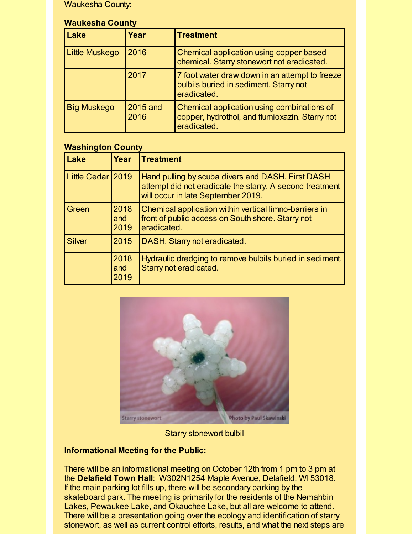Waukesha County:

#### **Waukesha County**

| Lake                  | Year             | <b>Treatment</b>                                                                                            |
|-----------------------|------------------|-------------------------------------------------------------------------------------------------------------|
| <b>Little Muskego</b> | 2016             | Chemical application using copper based<br>chemical. Starry stonewort not eradicated.                       |
|                       | 2017             | 7 foot water draw down in an attempt to freeze<br>bulbils buried in sediment. Starry not<br>eradicated.     |
| <b>Big Muskego</b>    | 2015 and<br>2016 | Chemical application using combinations of<br>copper, hydrothol, and flumioxazin. Starry not<br>eradicated. |

## **Washington County**

| Lake          | Year                | <b>ITreatment</b>                                                                                                                                   |
|---------------|---------------------|-----------------------------------------------------------------------------------------------------------------------------------------------------|
| Little Cedar  | 2019                | Hand pulling by scuba divers and DASH. First DASH<br>attempt did not eradicate the starry. A second treatment<br>will occur in late September 2019. |
| Green         | 2018<br>and<br>2019 | Chemical application within vertical limno-barriers in<br>front of public access on South shore. Starry not<br>eradicated.                          |
| <b>Silver</b> | 2015                | DASH. Starry not eradicated.                                                                                                                        |
|               | 2018<br>and<br>2019 | Hydraulic dredging to remove bulbils buried in sediment.<br>Starry not eradicated.                                                                  |



Starry stonewort bulbil

# **Informational Meeting for the Public:**

There will be an informational meeting on October 12th from 1 pm to 3 pm at the **Delafield Town Hall**: W302N1254 Maple Avenue, Delafield, WI 53018. If the main parking lot fills up, there will be secondary parking by the skateboard park. The meeting is primarily for the residents of the Nemahbin Lakes, Pewaukee Lake, and Okauchee Lake, but all are welcome to attend. There will be a presentation going over the ecology and identification of starry stonewort, as well as current control efforts, results, and what the next steps are